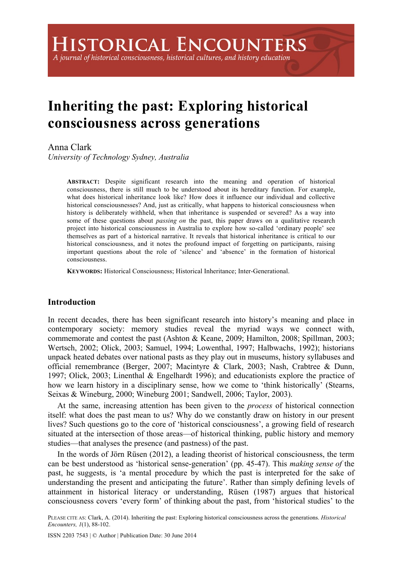## A journal of historical consciousness, historical cultures, and history education

# **Inheriting the past: Exploring historical consciousness across generations**

# Anna Clark

*University of Technology Sydney, Australia*

**ABSTRACT:** Despite significant research into the meaning and operation of historical consciousness, there is still much to be understood about its hereditary function. For example, what does historical inheritance look like? How does it influence our individual and collective historical consciousnesses? And, just as critically, what happens to historical consciousness when history is deliberately withheld, when that inheritance is suspended or severed? As a way into some of these questions about *passing on* the past, this paper draws on a qualitative research project into historical consciousness in Australia to explore how so-called 'ordinary people' see themselves as part of a historical narrative. It reveals that historical inheritance is critical to our historical consciousness, and it notes the profound impact of forgetting on participants, raising important questions about the role of 'silence' and 'absence' in the formation of historical consciousness.

**KEYWORDS:** Historical Consciousness; Historical Inheritance; Inter-Generational.

## **Introduction**

In recent decades, there has been significant research into history's meaning and place in contemporary society: memory studies reveal the myriad ways we connect with, commemorate and contest the past (Ashton & Keane, 2009; Hamilton, 2008; Spillman, 2003; Wertsch, 2002; Olick, 2003; Samuel, 1994; Lowenthal, 1997; Halbwachs, 1992); historians unpack heated debates over national pasts as they play out in museums, history syllabuses and official remembrance (Berger, 2007; Macintyre & Clark, 2003; Nash, Crabtree & Dunn, 1997; Olick, 2003; Linenthal & Engelhardt 1996); and educationists explore the practice of how we learn history in a disciplinary sense, how we come to 'think historically' (Stearns, Seixas & Wineburg, 2000; Wineburg 2001; Sandwell, 2006; Taylor, 2003).

At the same, increasing attention has been given to the *process* of historical connection itself: what does the past mean to us? Why do we constantly draw on history in our present lives? Such questions go to the core of 'historical consciousness', a growing field of research situated at the intersection of those areas—of historical thinking, public history and memory studies—that analyses the presence (and pastness) of the past.

In the words of Jörn Rüsen (2012), a leading theorist of historical consciousness, the term can be best understood as 'historical sense-generation' (pp. 45-47). This *making sense of* the past, he suggests, is 'a mental procedure by which the past is interpreted for the sake of understanding the present and anticipating the future'. Rather than simply defining levels of attainment in historical literacy or understanding, Rüsen (1987) argues that historical consciousness covers 'every form' of thinking about the past, from 'historical studies' to the

PLEASE CITE AS: Clark, A. (2014). Inheriting the past: Exploring historical consciousness across the generations. *Historical Encounters, 1*(1), 88-102.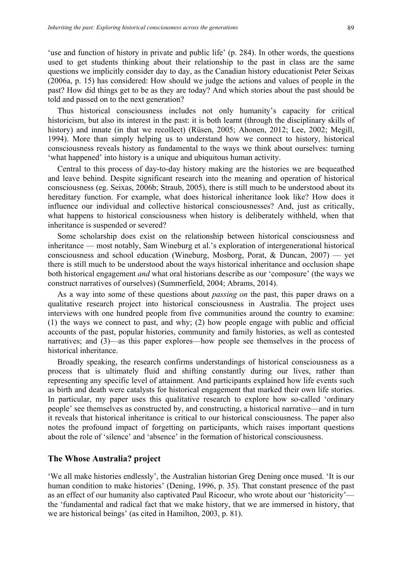'use and function of history in private and public life' (p. 284). In other words, the questions used to get students thinking about their relationship to the past in class are the same questions we implicitly consider day to day, as the Canadian history educationist Peter Seixas (2006a, p. 15) has considered: How should we judge the actions and values of people in the past? How did things get to be as they are today? And which stories about the past should be told and passed on to the next generation?

Thus historical consciousness includes not only humanity's capacity for critical historicism, but also its interest in the past: it is both learnt (through the disciplinary skills of history) and innate (in that we recollect) (Rüsen, 2005; Ahonen, 2012; Lee, 2002; Megill, 1994). More than simply helping us to understand how we connect to history, historical consciousness reveals history as fundamental to the ways we think about ourselves: turning 'what happened' into history is a unique and ubiquitous human activity.

Central to this process of day-to-day history making are the histories we are bequeathed and leave behind. Despite significant research into the meaning and operation of historical consciousness (eg. Seixas, 2006b; Straub, 2005), there is still much to be understood about its hereditary function. For example, what does historical inheritance look like? How does it influence our individual and collective historical consciousnesses? And, just as critically, what happens to historical consciousness when history is deliberately withheld, when that inheritance is suspended or severed?

Some scholarship does exist on the relationship between historical consciousness and inheritance — most notably, Sam Wineburg et al.'s exploration of intergenerational historical consciousness and school education (Wineburg, Mosborg, Porat, & Duncan, 2007) — yet there is still much to be understood about the ways historical inheritance and occlusion shape both historical engagement *and* what oral historians describe as our 'composure' (the ways we construct narratives of ourselves) (Summerfield, 2004; Abrams, 2014).

As a way into some of these questions about *passing on* the past, this paper draws on a qualitative research project into historical consciousness in Australia. The project uses interviews with one hundred people from five communities around the country to examine: (1) the ways we connect to past, and why; (2) how people engage with public and official accounts of the past, popular histories, community and family histories, as well as contested narratives; and (3)—as this paper explores—how people see themselves in the process of historical inheritance.

Broadly speaking, the research confirms understandings of historical consciousness as a process that is ultimately fluid and shifting constantly during our lives, rather than representing any specific level of attainment. And participants explained how life events such as birth and death were catalysts for historical engagement that marked their own life stories. In particular, my paper uses this qualitative research to explore how so-called 'ordinary people' see themselves as constructed by, and constructing, a historical narrative—and in turn it reveals that historical inheritance is critical to our historical consciousness. The paper also notes the profound impact of forgetting on participants, which raises important questions about the role of 'silence' and 'absence' in the formation of historical consciousness.

## **The Whose Australia? project**

'We all make histories endlessly', the Australian historian Greg Dening once mused. 'It is our human condition to make histories' (Dening, 1996, p. 35). That constant presence of the past as an effect of our humanity also captivated Paul Ricoeur, who wrote about our 'historicity' the 'fundamental and radical fact that we make history, that we are immersed in history, that we are historical beings' (as cited in Hamilton, 2003, p. 81).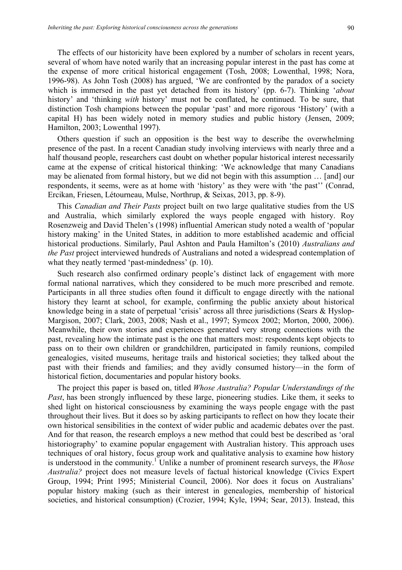The effects of our historicity have been explored by a number of scholars in recent years, several of whom have noted warily that an increasing popular interest in the past has come at the expense of more critical historical engagement (Tosh, 2008; Lowenthal, 1998; Nora, 1996-98). As John Tosh (2008) has argued, 'We are confronted by the paradox of a society which is immersed in the past yet detached from its history' (pp. 6-7). Thinking '*about* history' and 'thinking *with* history' must not be conflated, he continued. To be sure, that distinction Tosh champions between the popular 'past' and more rigorous 'History' (with a capital H) has been widely noted in memory studies and public history (Jensen, 2009; Hamilton, 2003; Lowenthal 1997).

Others question if such an opposition is the best way to describe the overwhelming presence of the past. In a recent Canadian study involving interviews with nearly three and a half thousand people, researchers cast doubt on whether popular historical interest necessarily came at the expense of critical historical thinking: 'We acknowledge that many Canadians may be alienated from formal history, but we did not begin with this assumption … [and] our respondents, it seems, were as at home with 'history' as they were with 'the past'' (Conrad, Ercikan, Friesen, Létourneau, Mulse, Northrup, & Seixas, 2013, pp. 8-9).

This *Canadian and Their Pasts* project built on two large qualitative studies from the US and Australia, which similarly explored the ways people engaged with history. Roy Rosenzweig and David Thelen's (1998) influential American study noted a wealth of 'popular history making' in the United States, in addition to more established academic and official historical productions. Similarly, Paul Ashton and Paula Hamilton's (2010) *Australians and the Past* project interviewed hundreds of Australians and noted a widespread contemplation of what they neatly termed 'past-mindedness' (p. 10).

Such research also confirmed ordinary people's distinct lack of engagement with more formal national narratives, which they considered to be much more prescribed and remote. Participants in all three studies often found it difficult to engage directly with the national history they learnt at school, for example, confirming the public anxiety about historical knowledge being in a state of perpetual 'crisis' across all three jurisdictions (Sears & Hyslop-Margison, 2007; Clark, 2003, 2008; Nash et al., 1997; Symcox 2002; Morton, 2000, 2006). Meanwhile, their own stories and experiences generated very strong connections with the past, revealing how the intimate past is the one that matters most: respondents kept objects to pass on to their own children or grandchildren, participated in family reunions, compiled genealogies, visited museums, heritage trails and historical societies; they talked about the past with their friends and families; and they avidly consumed history—in the form of historical fiction, documentaries and popular history books.

The project this paper is based on, titled *Whose Australia? Popular Understandings of the Past*, has been strongly influenced by these large, pioneering studies. Like them, it seeks to shed light on historical consciousness by examining the ways people engage with the past throughout their lives. But it does so by asking participants to reflect on how they locate their own historical sensibilities in the context of wider public and academic debates over the past. And for that reason, the research employs a new method that could best be described as 'oral historiography' to examine popular engagement with Australian history. This approach uses techniques of oral history, focus group work and qualitative analysis to examine how history is understood in the community.<sup>1</sup> Unlike a number of prominent research surveys, the *Whose Australia?* project does not measure levels of factual historical knowledge (Civics Expert Group, 1994; Print 1995; Ministerial Council, 2006). Nor does it focus on Australians' popular history making (such as their interest in genealogies, membership of historical societies, and historical consumption) (Crozier, 1994; Kyle, 1994; Sear, 2013). Instead, this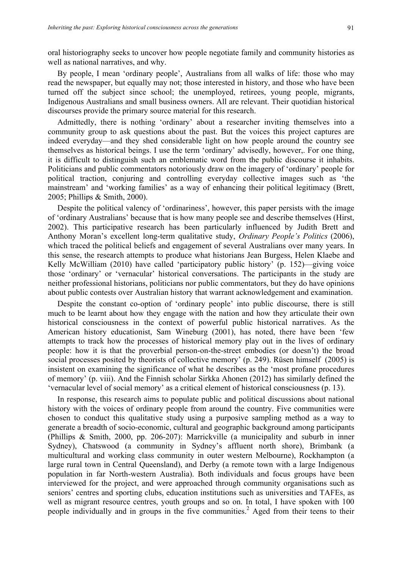oral historiography seeks to uncover how people negotiate family and community histories as well as national narratives, and why.

By people, I mean 'ordinary people', Australians from all walks of life: those who may read the newspaper, but equally may not; those interested in history, and those who have been turned off the subject since school; the unemployed, retirees, young people, migrants, Indigenous Australians and small business owners. All are relevant. Their quotidian historical discourses provide the primary source material for this research.

Admittedly, there is nothing 'ordinary' about a researcher inviting themselves into a community group to ask questions about the past. But the voices this project captures are indeed everyday—and they shed considerable light on how people around the country see themselves as historical beings. I use the term 'ordinary' advisedly, however,. For one thing, it is difficult to distinguish such an emblematic word from the public discourse it inhabits. Politicians and public commentators notoriously draw on the imagery of 'ordinary' people for political traction, conjuring and controlling everyday collective images such as 'the mainstream' and 'working families' as a way of enhancing their political legitimacy (Brett, 2005; Phillips & Smith, 2000).

Despite the political valency of 'ordinariness', however, this paper persists with the image of 'ordinary Australians' because that is how many people see and describe themselves (Hirst, 2002). This participative research has been particularly influenced by Judith Brett and Anthony Moran's excellent long-term qualitative study, *Ordinary People's Politics* (2006), which traced the political beliefs and engagement of several Australians over many years. In this sense, the research attempts to produce what historians Jean Burgess, Helen Klaebe and Kelly McWilliam (2010) have called 'participatory public history' (p. 152)—giving voice those 'ordinary' or 'vernacular' historical conversations. The participants in the study are neither professional historians, politicians nor public commentators, but they do have opinions about public contests over Australian history that warrant acknowledgement and examination.

Despite the constant co-option of 'ordinary people' into public discourse, there is still much to be learnt about how they engage with the nation and how they articulate their own historical consciousness in the context of powerful public historical narratives. As the American history educationist, Sam Wineburg (2001), has noted, there have been 'few attempts to track how the processes of historical memory play out in the lives of ordinary people: how it is that the proverbial person-on-the-street embodies (or doesn't) the broad social processes posited by theorists of collective memory' (p. 249). Rüsen himself (2005) is insistent on examining the significance of what he describes as the 'most profane procedures of memory' (p. viii). And the Finnish scholar Sirkka Ahonen (2012) has similarly defined the 'vernacular level of social memory' as a critical element of historical consciousness (p. 13).

In response, this research aims to populate public and political discussions about national history with the voices of ordinary people from around the country. Five communities were chosen to conduct this qualitative study using a purposive sampling method as a way to generate a breadth of socio-economic, cultural and geographic background among participants (Phillips & Smith, 2000, pp. 206-207): Marrickville (a municipality and suburb in inner Sydney), Chatswood (a community in Sydney's affluent north shore), Brimbank (a multicultural and working class community in outer western Melbourne), Rockhampton (a large rural town in Central Queensland), and Derby (a remote town with a large Indigenous population in far North-western Australia). Both individuals and focus groups have been interviewed for the project, and were approached through community organisations such as seniors' centres and sporting clubs, education institutions such as universities and TAFEs, as well as migrant resource centres, youth groups and so on. In total, I have spoken with 100 people individually and in groups in the five communities.<sup>2</sup> Aged from their teens to their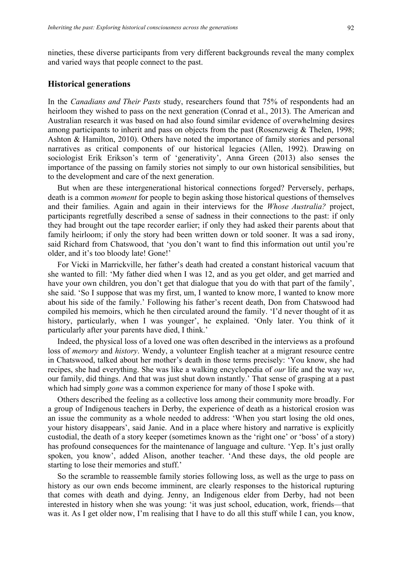nineties, these diverse participants from very different backgrounds reveal the many complex and varied ways that people connect to the past.

#### **Historical generations**

In the *Canadians and Their Pasts* study, researchers found that 75% of respondents had an heirloom they wished to pass on the next generation (Conrad et al., 2013). The American and Australian research it was based on had also found similar evidence of overwhelming desires among participants to inherit and pass on objects from the past (Rosenzweig & Thelen, 1998; Ashton & Hamilton, 2010). Others have noted the importance of family stories and personal narratives as critical components of our historical legacies (Allen, 1992). Drawing on sociologist Erik Erikson's term of 'generativity', Anna Green (2013) also senses the importance of the passing on family stories not simply to our own historical sensibilities, but to the development and care of the next generation.

But when are these intergenerational historical connections forged? Perversely, perhaps, death is a common *moment* for people to begin asking those historical questions of themselves and their families. Again and again in their interviews for the *Whose Australia?* project, participants regretfully described a sense of sadness in their connections to the past: if only they had brought out the tape recorder earlier; if only they had asked their parents about that family heirloom; if only the story had been written down or told sooner. It was a sad irony, said Richard from Chatswood, that 'you don't want to find this information out until you're older, and it's too bloody late! Gone!'

For Vicki in Marrickville, her father's death had created a constant historical vacuum that she wanted to fill: 'My father died when I was 12, and as you get older, and get married and have your own children, you don't get that dialogue that you do with that part of the family', she said. 'So I suppose that was my first, um, I wanted to know more, I wanted to know more about his side of the family.' Following his father's recent death, Don from Chatswood had compiled his memoirs, which he then circulated around the family. 'I'd never thought of it as history, particularly, when I was younger', he explained. 'Only later. You think of it particularly after your parents have died, I think.'

Indeed, the physical loss of a loved one was often described in the interviews as a profound loss of *memory* and *history*. Wendy, a volunteer English teacher at a migrant resource centre in Chatswood, talked about her mother's death in those terms precisely: 'You know, she had recipes, she had everything. She was like a walking encyclopedia of *our* life and the way *we*, our family, did things. And that was just shut down instantly.' That sense of grasping at a past which had simply *gone* was a common experience for many of those I spoke with.

Others described the feeling as a collective loss among their community more broadly. For a group of Indigenous teachers in Derby, the experience of death as a historical erosion was an issue the community as a whole needed to address: 'When you start losing the old ones, your history disappears', said Janie. And in a place where history and narrative is explicitly custodial, the death of a story keeper (sometimes known as the 'right one' or 'boss' of a story) has profound consequences for the maintenance of language and culture. 'Yep. It's just orally spoken, you know', added Alison, another teacher. 'And these days, the old people are starting to lose their memories and stuff.'

So the scramble to reassemble family stories following loss, as well as the urge to pass on history as our own ends become imminent, are clearly responses to the historical rupturing that comes with death and dying. Jenny, an Indigenous elder from Derby, had not been interested in history when she was young: 'it was just school, education, work, friends—that was it. As I get older now, I'm realising that I have to do all this stuff while I can, you know,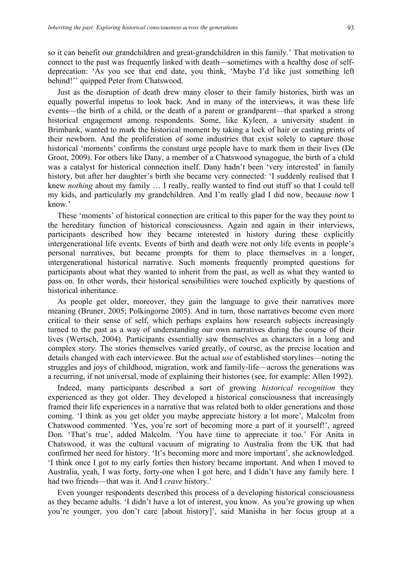so it can benefit our grandchildren and great-grandchildren in this family.' That motivation to connect to the past was frequently linked with death—sometimes with a healthy dose of selfdeprecation: 'As you see that end date, you think, 'Maybe I'd like just something left behind!'' quipped Peter from Chatswood.

Just as the disruption of death drew many closer to their family histories, birth was an equally powerful impetus to look back. And in many of the interviews, it was these life events—the birth of a child, or the death of a parent or grandparent—that sparked a strong historical engagement among respondents. Some, like Kyleen, a university student in Brimbank, wanted to mark the historical moment by taking a lock of hair or casting prints of their newborn. And the proliferation of some industries that exist solely to capture those historical 'moments' confirms the constant urge people have to mark them in their lives (De Groot, 2009). For others like Dany, a member of a Chatswood synagogue, the birth of a child was a catalyst for historical connection itself. Dany hadn't been 'very interested' in family history, but after her daughter's birth she became very connected: 'I suddenly realised that I knew *nothing* about my family … I really, really wanted to find out stuff so that I could tell my kids, and particularly my grandchildren. And I'm really glad I did now, because now I know.'

These 'moments' of historical connection are critical to this paper for the way they point to the hereditary function of historical consciousness. Again and again in their interviews, participants described how they became interested in history during these explicitly intergenerational life events. Events of birth and death were not only life events in people's personal narratives, but became prompts for them to place themselves in a longer, intergenerational historical narrative. Such moments frequently prompted questions for participants about what they wanted to inherit from the past, as well as what they wanted to pass on. In other words, their historical sensibilities were touched explicitly by questions of historical inheritance.

As people get older, moreover, they gain the language to give their narratives more meaning (Bruner, 2005; Polkingorne 2005). And in turn, those narratives become even more critical to their sense of self, which perhaps explains how research subjects increasingly turned to the past as a way of understanding our own narratives during the course of their lives (Wertsch, 2004). Participants essentially saw themselves as characters in a long and complex story. The stories themselves varied greatly, of course, as the precise location and details changed with each interviewee. But the actual *use* of established storylines—noting the struggles and joys of childhood, migration, work and family-life—across the generations was a recurring, if not universal, mode of explaining their histories (see, for example: Allen 1992).

Indeed, many participants described a sort of growing *historical recognition* they experienced as they got older. They developed a historical consciousness that increasingly framed their life experiences in a narrative that was related both to older generations and those coming. 'I think as you get older you maybe appreciate history a lot more', Malcolm from Chatswood commented. 'Yes, you're sort of becoming more a part of it yourself!', agreed Don. 'That's true', added Malcolm. 'You have time to appreciate it too.' For Anita in Chatswood, it was the cultural vacuum of migrating to Australia from the UK that had confirmed her need for history. 'It's becoming more and more important', she acknowledged. 'I think once I got to my early forties then history became important. And when I moved to Australia, yeah, I was forty, forty-one when I got here, and I didn't have any family here. I had two friends—that was it. And I *crave* history.'

Even younger respondents described this process of a developing historical consciousness as they became adults. 'I didn't have a lot of interest, you know. As you're growing up when you're younger, you don't care [about history]', said Manisha in her focus group at a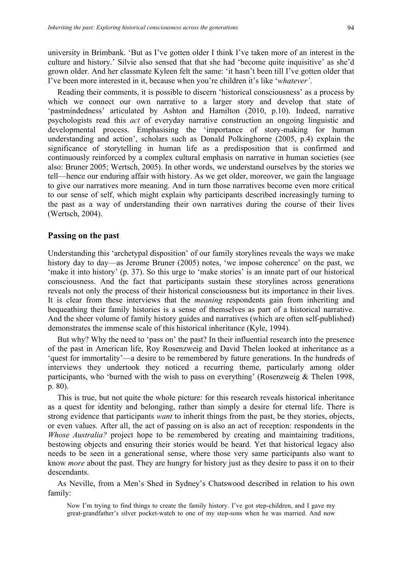university in Brimbank. 'But as I've gotten older I think I've taken more of an interest in the culture and history.' Silvie also sensed that that she had 'become quite inquisitive' as she'd grown older. And her classmate Kyleen felt the same: 'it hasn't been till I've gotten older that I've been more interested in it, because when you're children it's like '*whatever'*.

Reading their comments, it is possible to discern 'historical consciousness' as a process by which we connect our own narrative to a larger story and develop that state of 'pastmindedness' articulated by Ashton and Hamilton (2010, p.10). Indeed, narrative psychologists read this *act* of everyday narrative construction an ongoing linguistic and developmental process. Emphasising the 'importance of story-making for human understanding and action', scholars such as Donald Polkinghorne (2005, p.4) explain the significance of storytelling in human life as a predisposition that is confirmed and continuously reinforced by a complex cultural emphasis on narrative in human societies (see also: Bruner 2005; Wertsch, 2005). In other words, we understand ourselves by the stories we tell—hence our enduring affair with history. As we get older, moreover, we gain the language to give our narratives more meaning. And in turn those narratives become even more critical to our sense of self, which might explain why participants described increasingly turning to the past as a way of understanding their own narratives during the course of their lives (Wertsch, 2004).

#### **Passing on the past**

Understanding this 'archetypal disposition' of our family storylines reveals the ways we make history day to day—as Jerome Bruner (2005) notes, 'we impose coherence' on the past, we 'make it into history' (p. 37). So this urge to 'make stories' is an innate part of our historical consciousness. And the fact that participants sustain these storylines across generations reveals not only the process of their historical consciousness but its importance in their lives. It is clear from these interviews that the *meaning* respondents gain from inheriting and bequeathing their family histories is a sense of themselves as part of a historical narrative. And the sheer volume of family history guides and narratives (which are often self-published) demonstrates the immense scale of this historical inheritance (Kyle, 1994).

But why? Why the need to 'pass on' the past? In their influential research into the presence of the past in American life, Roy Rosenzweig and David Thelen looked at inheritance as a 'quest for immortality'—a desire to be remembered by future generations. In the hundreds of interviews they undertook they noticed a recurring theme, particularly among older participants, who 'burned with the wish to pass on everything' (Rosenzweig & Thelen 1998, p. 80).

This is true, but not quite the whole picture: for this research reveals historical inheritance as a quest for identity and belonging, rather than simply a desire for eternal life. There is strong evidence that participants *want* to inherit things from the past, be they stories, objects, or even values. After all, the act of passing on is also an act of reception: respondents in the *Whose Australia?* project hope to be remembered by creating and maintaining traditions, bestowing objects and ensuring their stories would be heard. Yet that historical legacy also needs to be seen in a generational sense, where those very same participants also want to know *more* about the past. They are hungry for history just as they desire to pass it on to their descendants.

As Neville, from a Men's Shed in Sydney's Chatswood described in relation to his own family:

Now I'm trying to find things to create the family history. I've got step-children, and I gave my great-grandfather's silver pocket-watch to one of my step-sons when he was married. And now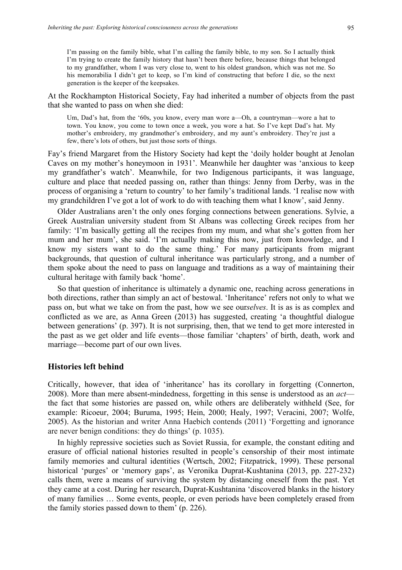I'm passing on the family bible, what I'm calling the family bible, to my son. So I actually think I'm trying to create the family history that hasn't been there before, because things that belonged to my grandfather, whom I was very close to, went to his oldest grandson, which was not me. So his memorabilia I didn't get to keep, so I'm kind of constructing that before I die, so the next generation is the keeper of the keepsakes.

At the Rockhampton Historical Society, Fay had inherited a number of objects from the past that she wanted to pass on when she died:

Um, Dad's hat, from the '60s, you know, every man wore a—Oh, a countryman—wore a hat to town. You know, you come to town once a week, you wore a hat. So I've kept Dad's hat. My mother's embroidery, my grandmother's embroidery, and my aunt's embroidery. They're just a few, there's lots of others, but just those sorts of things.

Fay's friend Margaret from the History Society had kept the 'doily holder bought at Jenolan Caves on my mother's honeymoon in 1931'. Meanwhile her daughter was 'anxious to keep my grandfather's watch'. Meanwhile, for two Indigenous participants, it was language, culture and place that needed passing on, rather than things: Jenny from Derby, was in the process of organising a 'return to country' to her family's traditional lands. 'I realise now with my grandchildren I've got a lot of work to do with teaching them what I know', said Jenny.

Older Australians aren't the only ones forging connections between generations. Sylvie, a Greek Australian university student from St Albans was collecting Greek recipes from her family: 'I'm basically getting all the recipes from my mum, and what she's gotten from her mum and her mum', she said. 'I'm actually making this now, just from knowledge, and I know my sisters want to do the same thing.' For many participants from migrant backgrounds, that question of cultural inheritance was particularly strong, and a number of them spoke about the need to pass on language and traditions as a way of maintaining their cultural heritage with family back 'home'.

So that question of inheritance is ultimately a dynamic one, reaching across generations in both directions, rather than simply an act of bestowal. 'Inheritance' refers not only to what we pass on, but what we take on from the past, how we see our*selves*. It is as is as complex and conflicted as we are, as Anna Green (2013) has suggested, creating 'a thoughtful dialogue between generations' (p. 397). It is not surprising, then, that we tend to get more interested in the past as we get older and life events—those familiar 'chapters' of birth, death, work and marriage—become part of our own lives.

#### **Histories left behind**

Critically, however, that idea of 'inheritance' has its corollary in forgetting (Connerton, 2008). More than mere absent-mindedness, forgetting in this sense is understood as an *act* the fact that some histories are passed on, while others are deliberately withheld (See, for example: Ricoeur, 2004; Buruma, 1995; Hein, 2000; Healy, 1997; Veracini, 2007; Wolfe, 2005). As the historian and writer Anna Haebich contends (2011) 'Forgetting and ignorance are never benign conditions: they do things' (p. 1035).

In highly repressive societies such as Soviet Russia, for example, the constant editing and erasure of official national histories resulted in people's censorship of their most intimate family memories and cultural identities (Wertsch, 2002; Fitzpatrick, 1999). These personal historical 'purges' or 'memory gaps', as Veronika Duprat-Kushtanina (2013, pp. 227-232) calls them, were a means of surviving the system by distancing oneself from the past. Yet they came at a cost. During her research, Duprat-Kushtanina 'discovered blanks in the history of many families … Some events, people, or even periods have been completely erased from the family stories passed down to them' (p. 226).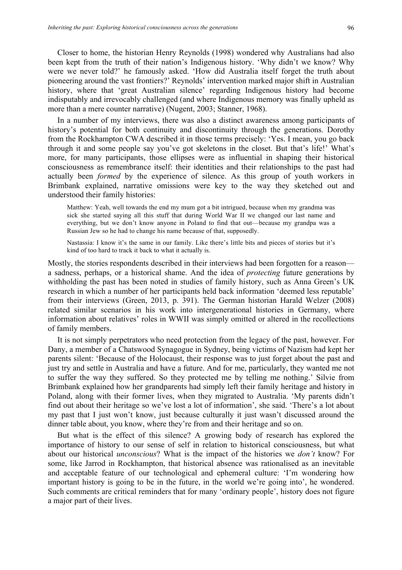Closer to home, the historian Henry Reynolds (1998) wondered why Australians had also been kept from the truth of their nation's Indigenous history. 'Why didn't we know? Why were we never told?' he famously asked. 'How did Australia itself forget the truth about pioneering around the vast frontiers?' Reynolds' intervention marked major shift in Australian history, where that 'great Australian silence' regarding Indigenous history had become indisputably and irrevocably challenged (and where Indigenous memory was finally upheld as more than a mere counter narrative) (Nugent, 2003; Stanner, 1968).

In a number of my interviews, there was also a distinct awareness among participants of history's potential for both continuity and discontinuity through the generations. Dorothy from the Rockhampton CWA described it in those terms precisely: 'Yes. I mean, you go back through it and some people say you've got skeletons in the closet. But that's life!' What's more, for many participants, those ellipses were as influential in shaping their historical consciousness as remembrance itself: their identities and their relationships to the past had actually been *formed* by the experience of silence. As this group of youth workers in Brimbank explained, narrative omissions were key to the way they sketched out and understood their family histories:

Matthew: Yeah, well towards the end my mum got a bit intrigued, because when my grandma was sick she started saying all this stuff that during World War II we changed our last name and everything, but we don't know anyone in Poland to find that out—because my grandpa was a Russian Jew so he had to change his name because of that, supposedly.

Nastassia: I know it's the same in our family. Like there's little bits and pieces of stories but it's kind of too hard to track it back to what it actually is.

Mostly, the stories respondents described in their interviews had been forgotten for a reason a sadness, perhaps, or a historical shame. And the idea of *protecting* future generations by withholding the past has been noted in studies of family history, such as Anna Green's UK research in which a number of her participants held back information 'deemed less reputable' from their interviews (Green, 2013, p. 391). The German historian Harald Welzer (2008) related similar scenarios in his work into intergenerational histories in Germany, where information about relatives' roles in WWII was simply omitted or altered in the recollections of family members.

It is not simply perpetrators who need protection from the legacy of the past, however. For Dany, a member of a Chatswood Synagogue in Sydney, being victims of Nazism had kept her parents silent: 'Because of the Holocaust, their response was to just forget about the past and just try and settle in Australia and have a future. And for me, particularly, they wanted me not to suffer the way they suffered. So they protected me by telling me nothing.' Silvie from Brimbank explained how her grandparents had simply left their family heritage and history in Poland, along with their former lives, when they migrated to Australia. 'My parents didn't find out about their heritage so we've lost a lot of information', she said. 'There's a lot about my past that I just won't know, just because culturally it just wasn't discussed around the dinner table about, you know, where they're from and their heritage and so on.

But what is the effect of this silence? A growing body of research has explored the importance of history to our sense of self in relation to historical consciousness, but what about our historical *unconscious*? What is the impact of the histories we *don't* know? For some, like Jarrod in Rockhampton, that historical absence was rationalised as an inevitable and acceptable feature of our technological and ephemeral culture: 'I'm wondering how important history is going to be in the future, in the world we're going into', he wondered. Such comments are critical reminders that for many 'ordinary people', history does not figure a major part of their lives.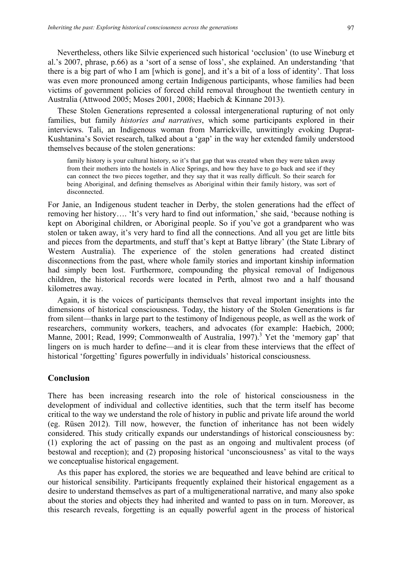Nevertheless, others like Silvie experienced such historical 'occlusion' (to use Wineburg et al.'s 2007, phrase, p.66) as a 'sort of a sense of loss', she explained. An understanding 'that there is a big part of who I am [which is gone], and it's a bit of a loss of identity'. That loss was even more pronounced among certain Indigenous participants, whose families had been victims of government policies of forced child removal throughout the twentieth century in Australia (Attwood 2005; Moses 2001, 2008; Haebich & Kinnane 2013).

These Stolen Generations represented a colossal intergenerational rupturing of not only families, but family *histories and narratives*, which some participants explored in their interviews. Tali, an Indigenous woman from Marrickville, unwittingly evoking Duprat-Kushtanina's Soviet research, talked about a 'gap' in the way her extended family understood themselves because of the stolen generations:

family history is your cultural history, so it's that gap that was created when they were taken away from their mothers into the hostels in Alice Springs, and how they have to go back and see if they can connect the two pieces together, and they say that it was really difficult. So their search for being Aboriginal, and defining themselves as Aboriginal within their family history, was sort of disconnected.

For Janie, an Indigenous student teacher in Derby, the stolen generations had the effect of removing her history…. 'It's very hard to find out information,' she said, 'because nothing is kept on Aboriginal children, or Aboriginal people. So if you've got a grandparent who was stolen or taken away, it's very hard to find all the connections. And all you get are little bits and pieces from the departments, and stuff that's kept at Battye library' (the State Library of Western Australia). The experience of the stolen generations had created distinct disconnections from the past, where whole family stories and important kinship information had simply been lost. Furthermore, compounding the physical removal of Indigenous children, the historical records were located in Perth, almost two and a half thousand kilometres away.

Again, it is the voices of participants themselves that reveal important insights into the dimensions of historical consciousness. Today, the history of the Stolen Generations is far from silent—thanks in large part to the testimony of Indigenous people, as well as the work of researchers, community workers, teachers, and advocates (for example: Haebich, 2000; Manne, 2001; Read, 1999; Commonwealth of Australia, 1997).<sup>3</sup> Yet the 'memory gap' that lingers on is much harder to define—and it is clear from these interviews that the effect of historical 'forgetting' figures powerfully in individuals' historical consciousness.

## **Conclusion**

There has been increasing research into the role of historical consciousness in the development of individual and collective identities, such that the term itself has become critical to the way we understand the role of history in public and private life around the world (eg. Rüsen 2012). Till now, however, the function of inheritance has not been widely considered. This study critically expands our understandings of historical consciousness by: (1) exploring the act of passing on the past as an ongoing and multivalent process (of bestowal and reception); and (2) proposing historical 'unconsciousness' as vital to the ways we conceptualise historical engagement.

As this paper has explored, the stories we are bequeathed and leave behind are critical to our historical sensibility. Participants frequently explained their historical engagement as a desire to understand themselves as part of a multigenerational narrative, and many also spoke about the stories and objects they had inherited and wanted to pass on in turn. Moreover, as this research reveals, forgetting is an equally powerful agent in the process of historical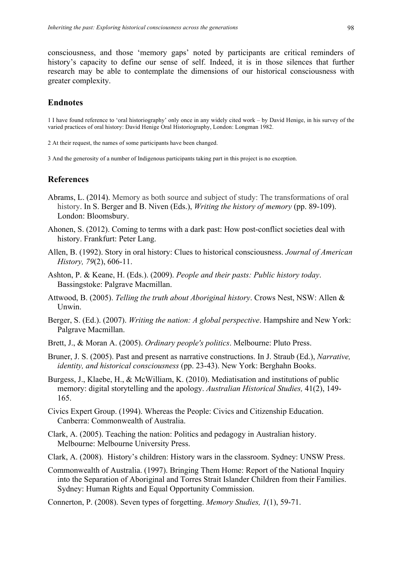consciousness, and those 'memory gaps' noted by participants are critical reminders of history's capacity to define our sense of self. Indeed, it is in those silences that further research may be able to contemplate the dimensions of our historical consciousness with greater complexity.

#### **Endnotes**

1 I have found reference to 'oral historiography' only once in any widely cited work – by David Henige, in his survey of the varied practices of oral history: David Henige Oral Historiography, London: Longman 1982.

2 At their request, the names of some participants have been changed.

3 And the generosity of a number of Indigenous participants taking part in this project is no exception.

#### **References**

- Abrams, L. (2014). Memory as both source and subject of study: The transformations of oral history. In S. Berger and B. Niven (Eds.), *Writing the history of memory* (pp. 89-109). London: Bloomsbury.
- Ahonen, S. (2012). Coming to terms with a dark past: How post-conflict societies deal with history. Frankfurt: Peter Lang.
- Allen, B. (1992). Story in oral history: Clues to historical consciousness. *Journal of American History, 79*(2), 606-11.
- Ashton, P. & Keane, H. (Eds.). (2009). *People and their pasts: Public history today*. Bassingstoke: Palgrave Macmillan.
- Attwood, B. (2005). *Telling the truth about Aboriginal history*. Crows Nest, NSW: Allen & Unwin.
- Berger, S. (Ed.). (2007). *Writing the nation: A global perspective*. Hampshire and New York: Palgrave Macmillan.
- Brett, J., & Moran A. (2005). *Ordinary people's politics*. Melbourne: Pluto Press.
- Bruner, J. S. (2005). Past and present as narrative constructions. In J. Straub (Ed.), *Narrative, identity, and historical consciousness* (pp. 23-43). New York: Berghahn Books.
- Burgess, J., Klaebe, H., & McWilliam, K. (2010). Mediatisation and institutions of public memory: digital storytelling and the apology. *Australian Historical Studies,* 41(2), 149- 165.
- Civics Expert Group. (1994). Whereas the People: Civics and Citizenship Education. Canberra: Commonwealth of Australia.
- Clark, A. (2005). Teaching the nation: Politics and pedagogy in Australian history. Melbourne: Melbourne University Press.
- Clark, A. (2008). History's children: History wars in the classroom. Sydney: UNSW Press.
- Commonwealth of Australia. (1997). Bringing Them Home: Report of the National Inquiry into the Separation of Aboriginal and Torres Strait Islander Children from their Families. Sydney: Human Rights and Equal Opportunity Commission.
- Connerton, P. (2008). Seven types of forgetting. *Memory Studies, 1*(1), 59-71.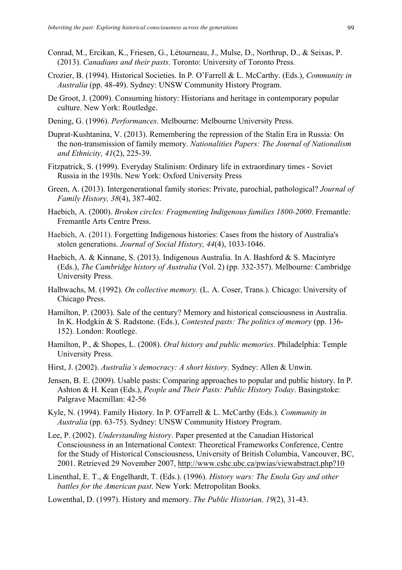- Conrad, M., Ercikan, K., Friesen, G., Létourneau, J., Mulse, D., Northrup, D., & Seixas, P. (2013). *Canadians and their pasts*. Toronto: University of Toronto Press.
- Crozier, B. (1994). Historical Societies. In P. O'Farrell & L. McCarthy. (Eds.), *Community in Australia* (pp. 48-49). Sydney: UNSW Community History Program.
- De Groot, J. (2009). Consuming history: Historians and heritage in contemporary popular culture. New York: Routledge.
- Dening, G. (1996). *Performances*. Melbourne: Melbourne University Press.
- Duprat-Kushtanina, V. (2013). Remembering the repression of the Stalin Era in Russia: On the non-transmission of family memory. *Nationalities Papers: The Journal of Nationalism and Ethnicity, 41*(2), 225-39.
- Fitzpatrick, S. (1999). Everyday Stalinism: Ordinary life in extraordinary times Soviet Russia in the 1930s. New York: Oxford University Press
- Green, A. (2013). Intergenerational family stories: Private, parochial, pathological? *Journal of Family History, 38*(4), 387-402.
- Haebich, A. (2000). *Broken circles: Fragmenting Indigenous families 1800-2000*. Fremantle: Fremantle Arts Centre Press.
- Haebich, A. (2011). Forgetting Indigenous histories: Cases from the history of Australia's stolen generations. *Journal of Social History, 44*(4), 1033-1046.
- Haebich, A. & Kinnane, S. (2013). Indigenous Australia. In A. Bashford & S. Macintyre (Eds.), *The Cambridge history of Australia* (Vol. 2) (pp. 332-357). Melbourne: Cambridge University Press.
- Halbwachs, M. (1992). *On collective memory.* (L. A. Coser, Trans.). Chicago: University of Chicago Press.
- Hamilton, P. (2003). Sale of the century? Memory and historical consciousness in Australia. In K. Hodgkin & S. Radstone. (Eds.), *Contested pasts: The politics of memory* (pp. 136- 152). London: Routlege.
- Hamilton, P., & Shopes, L. (2008). *Oral history and public memories*. Philadelphia: Temple University Press.
- Hirst, J. (2002). *Australia's democracy: A short history*. Sydney: Allen & Unwin.
- Jensen, B. E. (2009). Usable pasts: Comparing approaches to popular and public history. In P. Ashton & H. Kean (Eds.), *People and Their Pasts: Public History Today*. Basingstoke: Palgrave Macmillan: 42-56
- Kyle, N. (1994). Family History. In P. O'Farrell & L. McCarthy (Eds.). *Community in Australia* (pp. 63-75). Sydney: UNSW Community History Program.
- Lee, P. (2002). *Understanding history*. Paper presented at the Canadian Historical Consciousness in an International Context: Theoretical Frameworks Conference, Centre for the Study of Historical Consciousness, University of British Columbia, Vancouver, BC, 2001. Retrieved 29 November 2007, http://www.cshc.ubc.ca/pwias/viewabstract.php?10
- Linenthal, E. T., & Engelhardt, T. (Eds.). (1996). *History wars: The Enola Gay and other battles for the American past*. New York: Metropolitan Books.
- Lowenthal, D. (1997). History and memory. *The Public Historian, 19*(2), 31-43.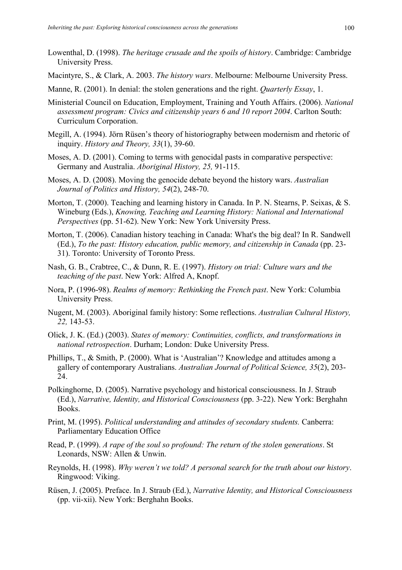- Lowenthal, D. (1998). *The heritage crusade and the spoils of history*. Cambridge: Cambridge University Press.
- Macintyre, S., & Clark, A. 2003. *The history wars*. Melbourne: Melbourne University Press.
- Manne, R. (2001). In denial: the stolen generations and the right. *Quarterly Essay*, 1.
- Ministerial Council on Education, Employment, Training and Youth Affairs. (2006). *National assessment program: Civics and citizenship years 6 and 10 report 2004*. Carlton South: Curriculum Corporation.
- Megill, A. (1994). Jörn Rüsen's theory of historiography between modernism and rhetoric of inquiry. *History and Theory, 33*(1), 39-60.
- Moses, A. D. (2001). Coming to terms with genocidal pasts in comparative perspective: Germany and Australia. *Aboriginal History, 25,* 91-115.
- Moses, A. D. (2008). Moving the genocide debate beyond the history wars. *Australian Journal of Politics and History, 54*(2), 248-70.
- Morton, T. (2000). Teaching and learning history in Canada. In P. N. Stearns, P. Seixas, & S. Wineburg (Eds.), *Knowing, Teaching and Learning History: National and International Perspectives* (pp. 51-62). New York: New York University Press.
- Morton, T. (2006). Canadian history teaching in Canada: What's the big deal? In R. Sandwell (Ed.), *To the past: History education, public memory, and citizenship in Canada* (pp. 23- 31). Toronto: University of Toronto Press.
- Nash, G. B., Crabtree, C., & Dunn, R. E. (1997). *History on trial: Culture wars and the teaching of the past*. New York: Alfred A, Knopf.
- Nora, P. (1996-98). *Realms of memory: Rethinking the French past*. New York: Columbia University Press.
- Nugent, M. (2003). Aboriginal family history: Some reflections. *Australian Cultural History, 22,* 143-53.
- Olick, J. K. (Ed.) (2003). *States of memory: Continuities, conflicts, and transformations in national retrospection*. Durham; London: Duke University Press.
- Phillips, T., & Smith, P. (2000). What is 'Australian'? Knowledge and attitudes among a gallery of contemporary Australians. *Australian Journal of Political Science, 35*(2), 203- 24.
- Polkinghorne, D. (2005). Narrative psychology and historical consciousness. In J. Straub (Ed.), *Narrative, Identity, and Historical Consciousness* (pp. 3-22). New York: Berghahn Books.
- Print, M. (1995). *Political understanding and attitudes of secondary students.* Canberra: Parliamentary Education Office
- Read, P. (1999). *A rape of the soul so profound: The return of the stolen generations*. St Leonards, NSW: Allen & Unwin.
- Reynolds, H. (1998). *Why weren't we told? A personal search for the truth about our history*. Ringwood: Viking.
- Rüsen, J. (2005). Preface. In J. Straub (Ed.), *Narrative Identity, and Historical Consciousness* (pp. vii-xii). New York: Berghahn Books.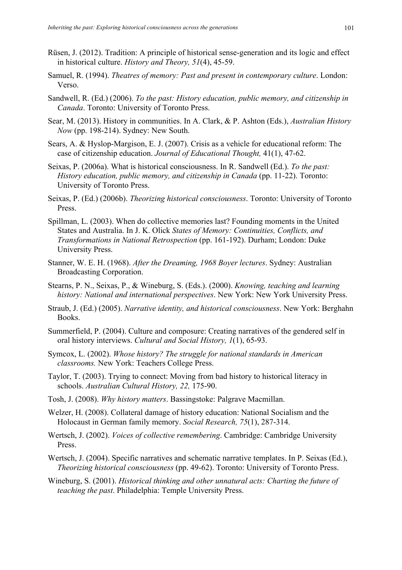- Rüsen, J. (2012). Tradition: A principle of historical sense-generation and its logic and effect in historical culture. *History and Theory, 51*(4), 45-59.
- Samuel, R. (1994). *Theatres of memory: Past and present in contemporary culture*. London: Verso.
- Sandwell, R. (Ed.) (2006). *To the past: History education, public memory, and citizenship in Canada*. Toronto: University of Toronto Press.
- Sear, M. (2013). History in communities. In A. Clark, & P. Ashton (Eds.), *Australian History Now* (pp. 198-214). Sydney: New South.
- Sears, A. & Hyslop-Margison, E. J. (2007). Crisis as a vehicle for educational reform: The case of citizenship education. *Journal of Educational Thought,* 41(1), 47-62.
- Seixas, P. (2006a). What is historical consciousness. In R. Sandwell (Ed.). *To the past: History education, public memory, and citizenship in Canada* (pp. 11-22). Toronto: University of Toronto Press.
- Seixas, P. (Ed.) (2006b). *Theorizing historical consciousness*. Toronto: University of Toronto Press.
- Spillman, L. (2003). When do collective memories last? Founding moments in the United States and Australia. In J. K. Olick *States of Memory: Continuities, Conflicts, and Transformations in National Retrospection* (pp. 161-192). Durham; London: Duke University Press.
- Stanner, W. E. H. (1968). *After the Dreaming, 1968 Boyer lectures*. Sydney: Australian Broadcasting Corporation.
- Stearns, P. N., Seixas, P., & Wineburg, S. (Eds.). (2000). *Knowing, teaching and learning history: National and international perspectives*. New York: New York University Press.
- Straub, J. (Ed.) (2005). *Narrative identity, and historical consciousness*. New York: Berghahn Books.
- Summerfield, P. (2004). Culture and composure: Creating narratives of the gendered self in oral history interviews. *Cultural and Social History, 1*(1), 65-93.
- Symcox, L. (2002). *Whose history? The struggle for national standards in American classrooms.* New York: Teachers College Press.
- Taylor, T. (2003). Trying to connect: Moving from bad history to historical literacy in schools. *Australian Cultural History, 22,* 175-90.
- Tosh, J. (2008). *Why history matters*. Bassingstoke: Palgrave Macmillan.
- Welzer, H. (2008). Collateral damage of history education: National Socialism and the Holocaust in German family memory. *Social Research, 75*(1), 287-314.
- Wertsch, J. (2002). *Voices of collective remembering*. Cambridge: Cambridge University Press.
- Wertsch, J. (2004). Specific narratives and schematic narrative templates. In P. Seixas (Ed.), *Theorizing historical consciousness* (pp. 49-62). Toronto: University of Toronto Press.
- Wineburg, S. (2001). *Historical thinking and other unnatural acts: Charting the future of teaching the past*. Philadelphia: Temple University Press.